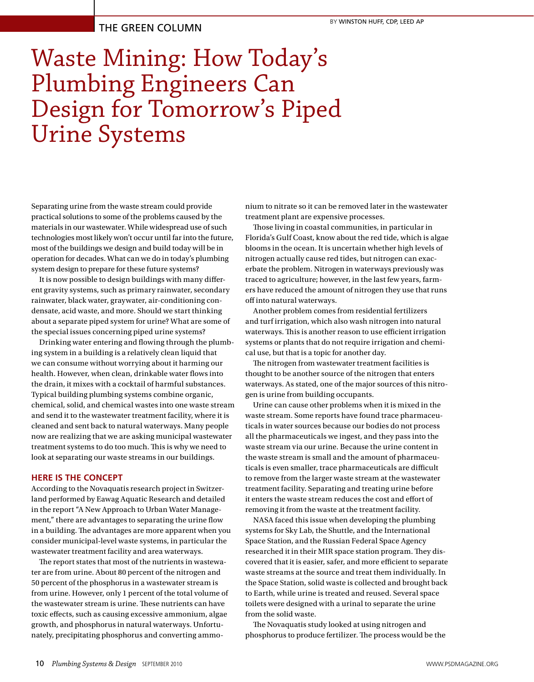# THE GREEN COLUMN

# Waste Mining: How Today's Plumbing Engineers Can Design for Tomorrow's Piped Urine Systems

Separating urine from the waste stream could provide practical solutions to some of the problems caused by the materials in our wastewater. While widespread use of such technologies most likely won't occur until far into the future, most of the buildings we design and build today will be in operation for decades. What can we do in today's plumbing system design to prepare for these future systems?

It is now possible to design buildings with many different gravity systems, such as primary rainwater, secondary rainwater, black water, graywater, air-conditioning condensate, acid waste, and more. Should we start thinking about a separate piped system for urine? What are some of the special issues concerning piped urine systems?

Drinking water entering and flowing through the plumbing system in a building is a relatively clean liquid that we can consume without worrying about it harming our health. However, when clean, drinkable water flows into the drain, it mixes with a cocktail of harmful substances. Typical building plumbing systems combine organic, chemical, solid, and chemical wastes into one waste stream and send it to the wastewater treatment facility, where it is cleaned and sent back to natural waterways. Many people now are realizing that we are asking municipal wastewater treatment systems to do too much. This is why we need to look at separating our waste streams in our buildings.

## **HERE IS THE CONCEPT**

According to the Novaquatis research project in Switzerland performed by Eawag Aquatic Research and detailed in the report "A New Approach to Urban Water Management," there are advantages to separating the urine flow in a building. The advantages are more apparent when you consider municipal-level waste systems, in particular the wastewater treatment facility and area waterways.

The report states that most of the nutrients in wastewater are from urine. About 80 percent of the nitrogen and 50 percent of the phosphorus in a wastewater stream is from urine. However, only 1 percent of the total volume of the wastewater stream is urine. These nutrients can have toxic effects, such as causing excessive ammonium, algae growth, and phosphorus in natural waterways. Unfortunately, precipitating phosphorus and converting ammonium to nitrate so it can be removed later in the wastewater treatment plant are expensive processes.

Those living in coastal communities, in particular in Florida's Gulf Coast, know about the red tide, which is algae blooms in the ocean. It is uncertain whether high levels of nitrogen actually cause red tides, but nitrogen can exacerbate the problem. Nitrogen in waterways previously was traced to agriculture; however, in the last few years, farmers have reduced the amount of nitrogen they use that runs off into natural waterways.

Another problem comes from residential fertilizers and turf irrigation, which also wash nitrogen into natural waterways. This is another reason to use efficient irrigation systems or plants that do not require irrigation and chemical use, but that is a topic for another day.

The nitrogen from wastewater treatment facilities is thought to be another source of the nitrogen that enters waterways. As stated, one of the major sources of this nitrogen is urine from building occupants.

Urine can cause other problems when it is mixed in the waste stream. Some reports have found trace pharmaceuticals in water sources because our bodies do not process all the pharmaceuticals we ingest, and they pass into the waste stream via our urine. Because the urine content in the waste stream is small and the amount of pharmaceuticals is even smaller, trace pharmaceuticals are difficult to remove from the larger waste stream at the wastewater treatment facility. Separating and treating urine before it enters the waste stream reduces the cost and effort of removing it from the waste at the treatment facility.

NASA faced this issue when developing the plumbing systems for Sky Lab, the Shuttle, and the International Space Station, and the Russian Federal Space Agency researched it in their MIR space station program. They discovered that it is easier, safer, and more efficient to separate waste streams at the source and treat them individually. In the Space Station, solid waste is collected and brought back to Earth, while urine is treated and reused. Several space toilets were designed with a urinal to separate the urine from the solid waste.

The Novaquatis study looked at using nitrogen and phosphorus to produce fertilizer. The process would be the